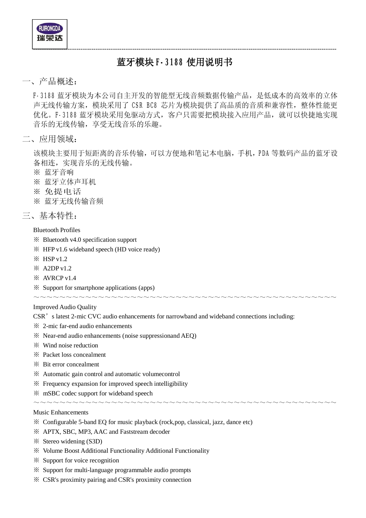**RUIRONGDA** 

## **蓝牙模块 F-3188 使用说明书**

---------------------------------------------------------------------------------------------------------------------------------------------

### 一、产品概述:

F-3188 蓝牙模块为本公司自主开发的智能型无线音频数据传输产品,是低成本的高效率的立体 声无线传输方案,模块采用了 CSR BC8 芯片为模块提供了高品质的音质和兼容性, 整体性能更 优化。F-3188 蓝牙模块采用免驱动方式, 客户只需要把模块接入应用产品, 就可以快捷地实现 音乐的无线传输,享受无线音乐的乐趣。

二、应用领域:

该模块主要用于短距离的音乐传输,可以方便地和笔记本电脑,手机,PDA 等数码产品的蓝牙设 备相连,实现音乐的无线传输。

- ※ 蓝牙音响
- ※ 蓝牙立体声耳机
- ※ 免提电话
- ※ 蓝牙无线传输音频
- 三、基本特性:

Bluetooth Profiles

- ※ Bluetooth v4.0 specification support
- ※ HFP v1.6 wideband speech (HD voice ready)
- $\frac{1}{2}$  HSP v1.2
- ※ A2DP v1.2
- ※ AVRCP v1.4
- ※ Support for smartphone applications (apps)

#### Improved Audio Quality

CSR's latest 2-mic CVC audio enhancements for narrowband and wideband connections including:

~~~~~~~~~~~~~~~~~~~~~~~~~~~~~~~~~~~~~~~~~~~~~~~

~~~~~~~~~~~~~~~~~~~~~~~~~~~~~~~~~~~~~~~~~~~~~~~

- ※ 2-mic far-end audio enhancements
- ※ Near-end audio enhancements (noise suppressionand AEQ)
- ※ Wind noise reduction
- ※ Packet loss concealment
- ※ Bit error concealment
- ※ Automatic gain control and automatic volumecontrol
- ※ Frequency expansion for improved speech intelligibility
- ※ mSBC codec support for wideband speech

#### Music Enhancements

- ※ Configurable 5-band EQ for music playback (rock,pop, classical, jazz, dance etc)
- ※ APTX, SBC, MP3, AAC and Faststream decoder
- ※ Stereo widening (S3D)
- ※ Volume Boost Additional Functionality Additional Functionality
- ※ Support for voice recognition
- ※ Support for multi-language programmable audio prompts
- ※ CSR's proximity pairing and CSR's proximity connection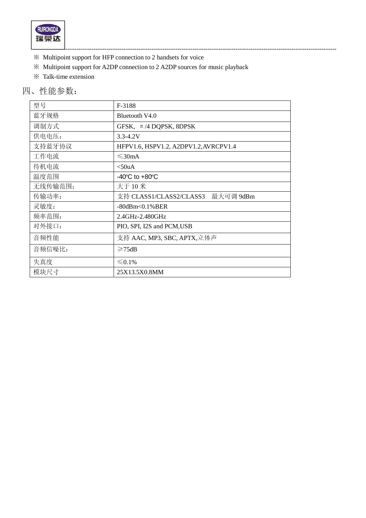

- ※ Multipoint support for HFP connection to 2 handsets for voice
- ※ Multipoint support for A2DP connection to 2 A2DP sources for music playback
- ※ Talk-time extension

## 四、性能参数:

| 型号      | F-3188                                |  |  |
|---------|---------------------------------------|--|--|
| 蓝牙规格    | Bluetooth V4.0                        |  |  |
| 调制方式    | GFSK, $\pi$ /4 DQPSK, 8DPSK           |  |  |
| 供电电压:   | $3.3 - 4.2V$                          |  |  |
| 支持蓝牙协议  | HFPV1.6, HSPV1.2, A2DPV1.2, AVRCPV1.4 |  |  |
| 工作电流    | $\leq$ 30mA                           |  |  |
| 待机电流    | $<$ 50uA                              |  |  |
| 温度范围    | -40 $^{\circ}$ C to +80 $^{\circ}$ C  |  |  |
| 无线传输范围: | 大于 10 米                               |  |  |
| 传输功率:   | 支持 CLASS1/CLASS2/CLASS3<br>最大可调 9dBm  |  |  |
| 灵敏度:    | $-80$ dBm< $0.1\%$ BER                |  |  |
| 频率范围:   | 2.4GHz-2.480GHz                       |  |  |
| 对外接口:   | PIO, SPI, I2S and PCM, USB            |  |  |
| 音频性能    | 支持 AAC, MP3, SBC, APTX,立体声            |  |  |
| 音频信噪比:  | $\geq 75dB$                           |  |  |
| 失真度     | $\leq 0.1\%$                          |  |  |
| 模块尺寸    | 25X13.5X0.8MM                         |  |  |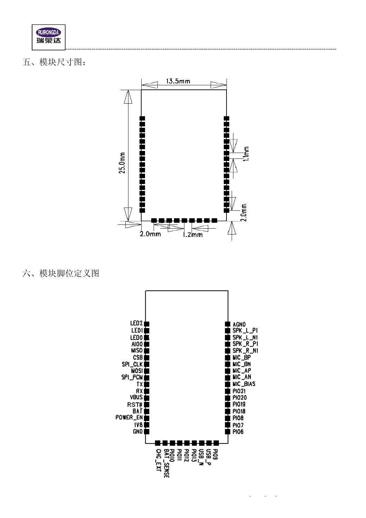

五、模块尺寸图:



六、模块脚位定义图



 $\ddot{\phantom{a}}$ 

 $\ddot{\phantom{a}}$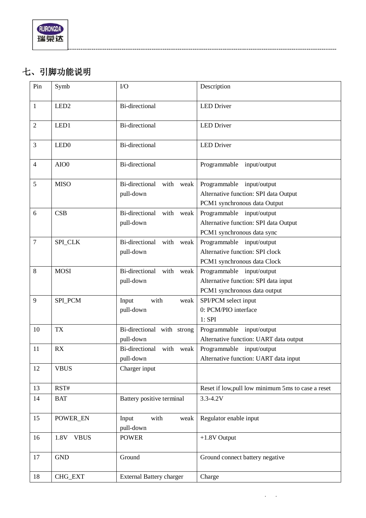# **七、引脚功能说明**

| Pin            | Symb                | $1/O$                                    | Description                                                                                        |
|----------------|---------------------|------------------------------------------|----------------------------------------------------------------------------------------------------|
| $\mathbf{1}$   | LED <sub>2</sub>    | <b>Bi-directional</b>                    | <b>LED</b> Driver                                                                                  |
| 2              | LED1                | <b>Bi-directional</b>                    | <b>LED</b> Driver                                                                                  |
| 3              | LED <sub>0</sub>    | Bi-directional                           | <b>LED</b> Driver                                                                                  |
| $\overline{4}$ | AIO0                | <b>Bi-directional</b>                    | Programmable<br>input/output                                                                       |
| 5              | <b>MISO</b>         | Bi-directional with weak<br>pull-down    | Programmable input/output<br>Alternative function: SPI data Output<br>PCM1 synchronous data Output |
| 6              | CSB                 | Bi-directional<br>with weak<br>pull-down | Programmable input/output<br>Alternative function: SPI data Output<br>PCM1 synchronous data sync   |
| $\overline{7}$ | SPI_CLK             | Bi-directional with weak<br>pull-down    | Programmable input/output<br>Alternative function: SPI clock<br>PCM1 synchronous data Clock        |
| 8              | <b>MOSI</b>         | Bi-directional with weak<br>pull-down    | Programmable input/output<br>Alternative function: SPI data input<br>PCM1 synchronous data output  |
| 9              | SPI_PCM             | Input<br>with<br>weak<br>pull-down       | SPI/PCM select input<br>0: PCM/PIO interface<br>$1:$ SPI                                           |
| 10             | <b>TX</b>           | Bi-directional with strong<br>pull-down  | Programmable input/output<br>Alternative function: UART data output                                |
| 11             | RX                  | Bi-directional with weak<br>pull-down    | Programmable input/output<br>Alternative function: UART data input                                 |
| 12             | <b>VBUS</b>         | Charger input                            |                                                                                                    |
| 13             | RST#                |                                          | Reset if low, pull low minimum 5ms to case a reset                                                 |
| 14             | <b>BAT</b>          | Battery positive terminal                | $3.3 - 4.2V$                                                                                       |
| 15             | POWER_EN            | Input<br>with<br>weak<br>pull-down       | Regulator enable input                                                                             |
| 16             | <b>VBUS</b><br>1.8V | <b>POWER</b>                             | $+1.8V$ Output                                                                                     |
| 17             | <b>GND</b>          | Ground                                   | Ground connect battery negative                                                                    |
| 18             | CHG_EXT             | <b>External Battery charger</b>          | Charge                                                                                             |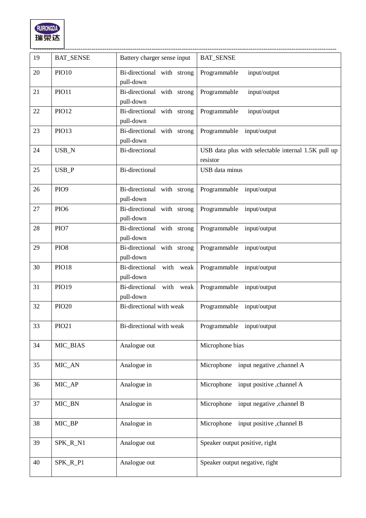

| 19 | <b>BAT_SENSE</b> | Battery charger sense input             | <b>BAT_SENSE</b>                                                |
|----|------------------|-----------------------------------------|-----------------------------------------------------------------|
| 20 | <b>PIO10</b>     | Bi-directional with strong<br>pull-down | Programmable<br>input/output                                    |
| 21 | <b>PIO11</b>     | Bi-directional with strong<br>pull-down | Programmable<br>input/output                                    |
| 22 | <b>PIO12</b>     | Bi-directional with strong<br>pull-down | Programmable<br>input/output                                    |
| 23 | <b>PIO13</b>     | Bi-directional with strong<br>pull-down | Programmable input/output                                       |
| 24 | USB_N            | Bi-directional                          | USB data plus with selectable internal 1.5K pull up<br>resistor |
| 25 | $USB_P$          | Bi-directional                          | USB data minus                                                  |
| 26 | PIO <sub>9</sub> | Bi-directional with strong<br>pull-down | Programmable input/output                                       |
| 27 | PIO <sub>6</sub> | Bi-directional with strong<br>pull-down | Programmable input/output                                       |
| 28 | PIO7             | Bi-directional with strong<br>pull-down | Programmable input/output                                       |
| 29 | PIO <sub>8</sub> | Bi-directional with strong<br>pull-down | Programmable input/output                                       |
| 30 | <b>PIO18</b>     | Bi-directional with weak<br>pull-down   | Programmable input/output                                       |
| 31 | PIO19            | Bi-directional with weak<br>pull-down   | Programmable input/output                                       |
| 32 | <b>PIO20</b>     | Bi-directional with weak                | Programmable input/output                                       |
| 33 | PIO21            | Bi-directional with weak                | Programmable input/output                                       |
| 34 | MIC_BIAS         | Analogue out                            | Microphone bias                                                 |
| 35 | MIC_AN           | Analogue in                             | Microphone<br>input negative , channel A                        |
| 36 | MIC_AP           | Analogue in                             | Microphone<br>input positive , channel A                        |
| 37 | MIC_BN           | Analogue in                             | Microphone<br>input negative , channel B                        |
| 38 | MIC_BP           | Analogue in                             | input positive , channel B<br>Microphone                        |
| 39 | SPK_R_N1         | Analogue out                            | Speaker output positive, right                                  |
| 40 | SPK_R_P1         | Analogue out                            | Speaker output negative, right                                  |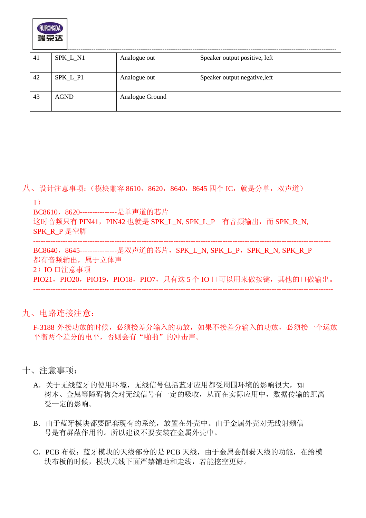

| 41 | SPK_L_N1    | Analogue out    | Speaker output positive, left |
|----|-------------|-----------------|-------------------------------|
| 42 | SPK_L_P1    | Analogue out    | Speaker output negative, left |
| 43 | <b>AGND</b> | Analogue Ground |                               |

八、设计注意事项: (模块兼容 8610, 8620, 8640, 8645 四个 IC, 就是分单, 双声道)

-------------------------------------------------------------------------------------------------------------------------

1)

BC8610,8620---------------是单声道的芯片

这时音频只有 PIN41, PIN42 也就是 SPK\_L\_N, SPK\_L\_P 有音频输出, 而 SPK\_R\_N, SPK\_R\_P 是空脚

BC8640,8645---------------是双声道的芯片,SPK\_L\_N, SPK\_L\_P,SPK\_R\_N, SPK\_R\_P 都有音频输出,属于立体声 2)IO 口注意事项 PIO21, PIO20, PIO19, PIO18, PIO7, 只有这 5 个 IO 口可以用来做按键, 其他的口做输出。 --------------------------------------------------------------------------------------------------------------------------

九、电路连接注意:

F-3188 外接功放的时候,必须接差分输入的功放,如果不接差分输入的功放,必须接一个运放 平衡两个差分的电平,否则会有"啪啪"的冲击声。

十、注意事项:

- A. 关于无线蓝牙的使用环境, 无线信号包括蓝牙应用都受周围环境的影响很大, 如 树木、金属等障碍物会对无线信号有一定的吸收,从而在实际应用中,数据传输的距离 受一定的影响。
- B.由于蓝牙模块都要配套现有的系统,放置在外壳中。由于金属外壳对无线射频信 号是有屏蔽作用的。所以建议不要安装在金属外壳中。
- C.PCB 布板:蓝牙模块的天线部分的是 PCB 天线,由于金属会削弱天线的功能,在给模 块布板的时候,模块天线下面严禁铺地和走线,若能挖空更好。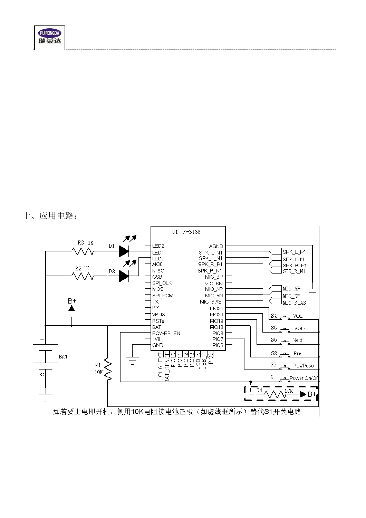

十、应用电路: